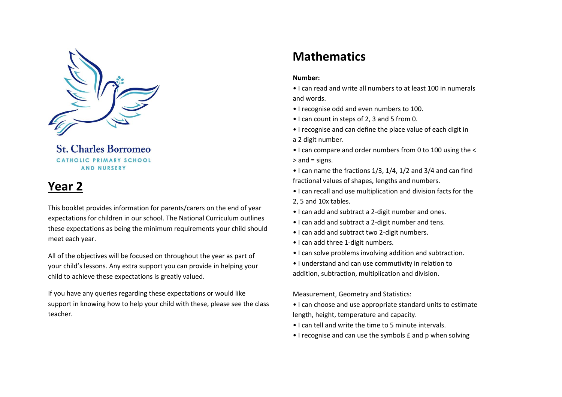

**St. Charles Borromeo** CATHOLIC PRIMARY SCHOOL **AND NURSERY** 

# **Year 2**

This booklet provides information for parents/carers on the end of year expectations for children in our school. The National Curriculum outlines these expectations as being the minimum requirements your child should meet each year.

All of the objectives will be focused on throughout the year as part of your child's lessons. Any extra support you can provide in helping your child to achieve these expectations is greatly valued.

If you have any queries regarding these expectations or would like support in knowing how to help your child with these, please see the class teacher.

# **Mathematics**

#### **Number:**

- I can read and write all numbers to at least 100 in numerals and words.
- I recognise odd and even numbers to 100.
- I can count in steps of 2, 3 and 5 from 0.
- I recognise and can define the place value of each digit in
- a 2 digit number.
- I can compare and order numbers from 0 to 100 using the < > and = signs.
- I can name the fractions 1/3, 1/4, 1/2 and 3/4 and can find fractional values of shapes, lengths and numbers.
- I can recall and use multiplication and division facts for the 2, 5 and 10x tables.
- I can add and subtract a 2-digit number and ones.
- I can add and subtract a 2-digit number and tens.
- I can add and subtract two 2-digit numbers.
- I can add three 1-digit numbers.
- I can solve problems involving addition and subtraction.
- I understand and can use commutivity in relation to addition, subtraction, multiplication and division.

Measurement, Geometry and Statistics:

- I can choose and use appropriate standard units to estimate length, height, temperature and capacity.
- I can tell and write the time to 5 minute intervals.
- I recognise and can use the symbols £ and p when solving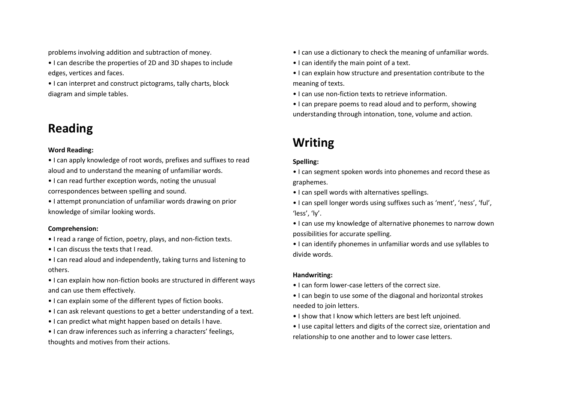problems involving addition and subtraction of money.

- I can describe the properties of 2D and 3D shapes to include edges, vertices and faces.
- I can interpret and construct pictograms, tally charts, block diagram and simple tables.

# **Reading**

### **Word Reading:**

• I can apply knowledge of root words, prefixes and suffixes to read aloud and to understand the meaning of unfamiliar words.

• I can read further exception words, noting the unusual correspondences between spelling and sound.

• I attempt pronunciation of unfamiliar words drawing on prior knowledge of similar looking words.

## **Comprehension:**

- I read a range of fiction, poetry, plays, and non-fiction texts.
- I can discuss the texts that I read.

• I can read aloud and independently, taking turns and listening to others.

• I can explain how non-fiction books are structured in different ways and can use them effectively.

- I can explain some of the different types of fiction books.
- I can ask relevant questions to get a better understanding of a text.
- I can predict what might happen based on details I have.

• I can draw inferences such as inferring a characters' feelings, thoughts and motives from their actions.

- I can use a dictionary to check the meaning of unfamiliar words.
- I can identify the main point of a text.
- I can explain how structure and presentation contribute to the meaning of texts.
- I can use non-fiction texts to retrieve information.
- I can prepare poems to read aloud and to perform, showing understanding through intonation, tone, volume and action.

# **Writing**

## **Spelling:**

• I can segment spoken words into phonemes and record these as graphemes.

- I can spell words with alternatives spellings.
- I can spell longer words using suffixes such as 'ment', 'ness', 'ful', 'less', 'ly'.
- I can use my knowledge of alternative phonemes to narrow down possibilities for accurate spelling.
- I can identify phonemes in unfamiliar words and use syllables to divide words.

## **Handwriting:**

- I can form lower-case letters of the correct size.
- I can begin to use some of the diagonal and horizontal strokes needed to join letters.
- I show that I know which letters are best left unjoined.
- I use capital letters and digits of the correct size, orientation and relationship to one another and to lower case letters.